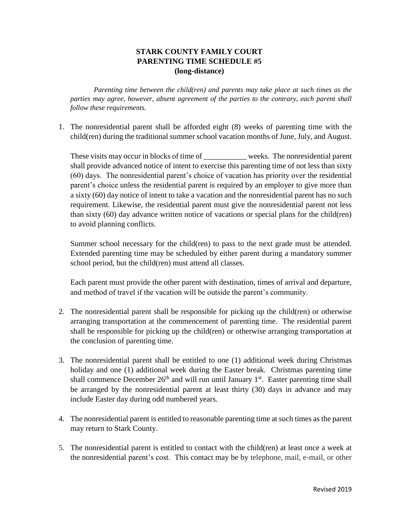## **STARK COUNTY FAMILY COURT PARENTING TIME SCHEDULE #5 (long-distance)**

*Parenting time between the child(ren) and parents may take place at such times as the parties may agree, however, absent agreement of the parties to the contrary, each parent shall follow these requirements.* 

1. The nonresidential parent shall be afforded eight (8) weeks of parenting time with the child(ren) during the traditional summer school vacation months of June, July, and August.

These visits may occur in blocks of time of weeks. The nonresidential parent shall provide advanced notice of intent to exercise this parenting time of not less than sixty (60) days. The nonresidential parent's choice of vacation has priority over the residential parent's choice unless the residential parent is required by an employer to give more than a sixty (60) day notice of intent to take a vacation and the nonresidential parent has no such requirement. Likewise, the residential parent must give the nonresidential parent not less than sixty (60) day advance written notice of vacations or special plans for the child(ren) to avoid planning conflicts.

Summer school necessary for the child(ren) to pass to the next grade must be attended. Extended parenting time may be scheduled by either parent during a mandatory summer school period, but the child(ren) must attend all classes.

Each parent must provide the other parent with destination, times of arrival and departure, and method of travel if the vacation will be outside the parent's community.

- 2. The nonresidential parent shall be responsible for picking up the child(ren) or otherwise arranging transportation at the commencement of parenting time. The residential parent shall be responsible for picking up the child(ren) or otherwise arranging transportation at the conclusion of parenting time.
- 3. The nonresidential parent shall be entitled to one (1) additional week during Christmas holiday and one (1) additional week during the Easter break. Christmas parenting time shall commence December  $26<sup>th</sup>$  and will run until January  $1<sup>st</sup>$ . Easter parenting time shall be arranged by the nonresidential parent at least thirty (30) days in advance and may include Easter day during odd numbered years.
- 4. The nonresidential parent is entitled to reasonable parenting time at such times as the parent may return to Stark County.
- 5. The nonresidential parent is entitled to contact with the child(ren) at least once a week at the nonresidential parent's cost. This contact may be by telephone, mail, e-mail, or other